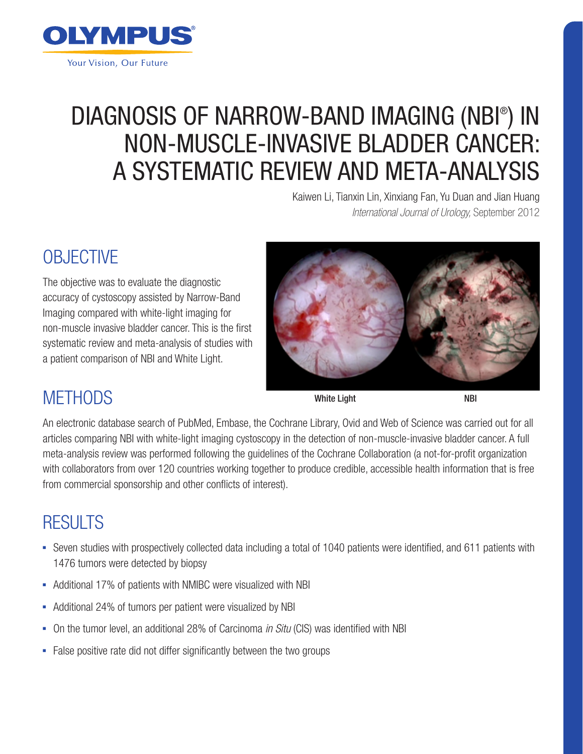

# DIAGNOSIS OF NARROW-BAND IMAGING (NBI® ) IN NON-MUSCLE-INVASIVE BLADDER CANCER: A SYSTEMATIC REVIEW AND META-ANALYSIS

Kaiwen Li, Tianxin Lin, Xinxiang Fan, Yu Duan and Jian Huang *International Journal of Urology,* September 2012

# **OBJECTIVE**

The objective was to evaluate the diagnostic accuracy of cystoscopy assisted by Narrow-Band Imaging compared with white-light imaging for non-muscle invasive bladder cancer. This is the first systematic review and meta-analysis of studies with a patient comparison of NBI and White Light.



## **METHODS**

White Light NBI

An electronic database search of PubMed, Embase, the Cochrane Library, Ovid and Web of Science was carried out for all articles comparing NBI with white-light imaging cystoscopy in the detection of non-muscle-invasive bladder cancer. A full meta-analysis review was performed following the guidelines of the Cochrane Collaboration (a not-for-profit organization with collaborators from over 120 countries working together to produce credible, accessible health information that is free from commercial sponsorship and other conflicts of interest).

## RESULTS

- Seven studies with prospectively collected data including a total of 1040 patients were identified, and 611 patients with 1476 tumors were detected by biopsy
- Additional 17% of patients with NMIBC were visualized with NBI
- Additional 24% of tumors per patient were visualized by NBI
- On the tumor level, an additional 28% of Carcinoma *in Situ* (CIS) was identified with NBI
- False positive rate did not differ significantly between the two groups